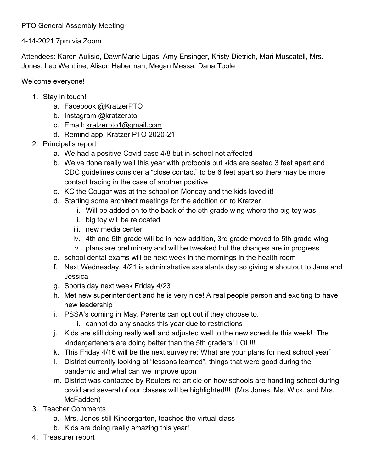## PTO General Assembly Meeting

## 4-14-2021 7pm via Zoom

Attendees: Karen Aulisio, DawnMarie Ligas, Amy Ensinger, Kristy Dietrich, Mari Muscatell, Mrs. Jones, Leo Wentline, Alison Haberman, Megan Messa, Dana Toole

## Welcome everyone!

- 1. Stay in touch!
	- a. Facebook @KratzerPTO
	- b. Instagram @kratzerpto
	- c. Email: [kratzerpto1@gmail.com](mailto:kratzerpto1@gmail.com)
	- d. Remind app: Kratzer PTO 2020-21
- 2. Principal's report
	- a. We had a positive Covid case 4/8 but in-school not affected
	- b. We've done really well this year with protocols but kids are seated 3 feet apart and CDC guidelines consider a "close contact" to be 6 feet apart so there may be more contact tracing in the case of another positive
	- c. KC the Cougar was at the school on Monday and the kids loved it!
	- d. Starting some architect meetings for the addition on to Kratzer
		- i. Will be added on to the back of the 5th grade wing where the big toy was
		- ii. big toy will be relocated
		- iii. new media center
		- iv. 4th and 5th grade will be in new addition, 3rd grade moved to 5th grade wing
		- v. plans are preliminary and will be tweaked but the changes are in progress
	- e. school dental exams will be next week in the mornings in the health room
	- f. Next Wednesday, 4/21 is administrative assistants day so giving a shoutout to Jane and Jessica
	- g. Sports day next week Friday 4/23
	- h. Met new superintendent and he is very nice! A real people person and exciting to have new leadership
	- i. PSSA's coming in May, Parents can opt out if they choose to.
		- i. cannot do any snacks this year due to restrictions
	- j. Kids are still doing really well and adjusted well to the new schedule this week! The kindergarteners are doing better than the 5th graders! LOL!!!
	- k. This Friday 4/16 will be the next survey re:"What are your plans for next school year"
	- l. District currently looking at "lessons learned", things that were good during the pandemic and what can we improve upon
	- m. District was contacted by Reuters re: article on how schools are handling school during covid and several of our classes will be highlighted!!! (Mrs Jones, Ms. Wick, and Mrs. McFadden)
- 3. Teacher Comments
	- a. Mrs. Jones still Kindergarten, teaches the virtual class
	- b. Kids are doing really amazing this year!
- 4. Treasurer report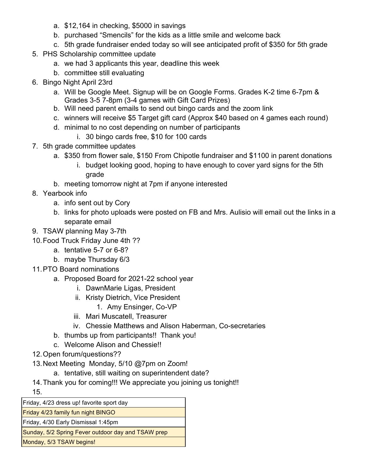- a. \$12,164 in checking, \$5000 in savings
- b. purchased "Smencils" for the kids as a little smile and welcome back
- c. 5th grade fundraiser ended today so will see anticipated profit of \$350 for 5th grade
- 5. PHS Scholarship committee update
	- a. we had 3 applicants this year, deadline this week
	- b. committee still evaluating
- 6. Bingo Night April 23rd
	- a. Will be Google Meet. Signup will be on Google Forms. Grades K-2 time 6-7pm & Grades 3-5 7-8pm (3-4 games with Gift Card Prizes)
	- b. Will need parent emails to send out bingo cards and the zoom link
	- c. winners will receive \$5 Target gift card (Approx \$40 based on 4 games each round)
	- d. minimal to no cost depending on number of participants
		- i. 30 bingo cards free, \$10 for 100 cards
- 7. 5th grade committee updates
	- a. \$350 from flower sale, \$150 From Chipotle fundraiser and \$1100 in parent donations
		- i. budget looking good, hoping to have enough to cover yard signs for the 5th grade
	- b. meeting tomorrow night at 7pm if anyone interested
- 8. Yearbook info
	- a. info sent out by Cory
	- b. links for photo uploads were posted on FB and Mrs. Aulisio will email out the links in a separate email
- 9. TSAW planning May 3-7th
- 10.Food Truck Friday June 4th ??
	- a. tentative 5-7 or 6-8?
	- b. maybe Thursday 6/3
- 11.PTO Board nominations
	- a. Proposed Board for 2021-22 school year
		- i. DawnMarie Ligas, President
		- ii. Kristy Dietrich, Vice President
			- 1. Amy Ensinger, Co-VP
		- iii. Mari Muscatell, Treasurer
		- iv. Chessie Matthews and Alison Haberman, Co-secretaries
	- b. thumbs up from participants!! Thank you!
	- c. Welcome Alison and Chessie!!
- 12.Open forum/questions??
- 13.Next Meeting Monday, 5/10 @7pm on Zoom!
	- a. tentative, still waiting on superintendent date?
- 14.Thank you for coming!!! We appreciate you joining us tonight!!

15.

Friday, 4/23 dress up! favorite sport day Friday 4/23 family fun night BINGO Friday, 4/30 Early Dismissal 1:45pm Sunday, 5/2 Spring Fever outdoor day and TSAW prep Monday, 5/3 TSAW begins!